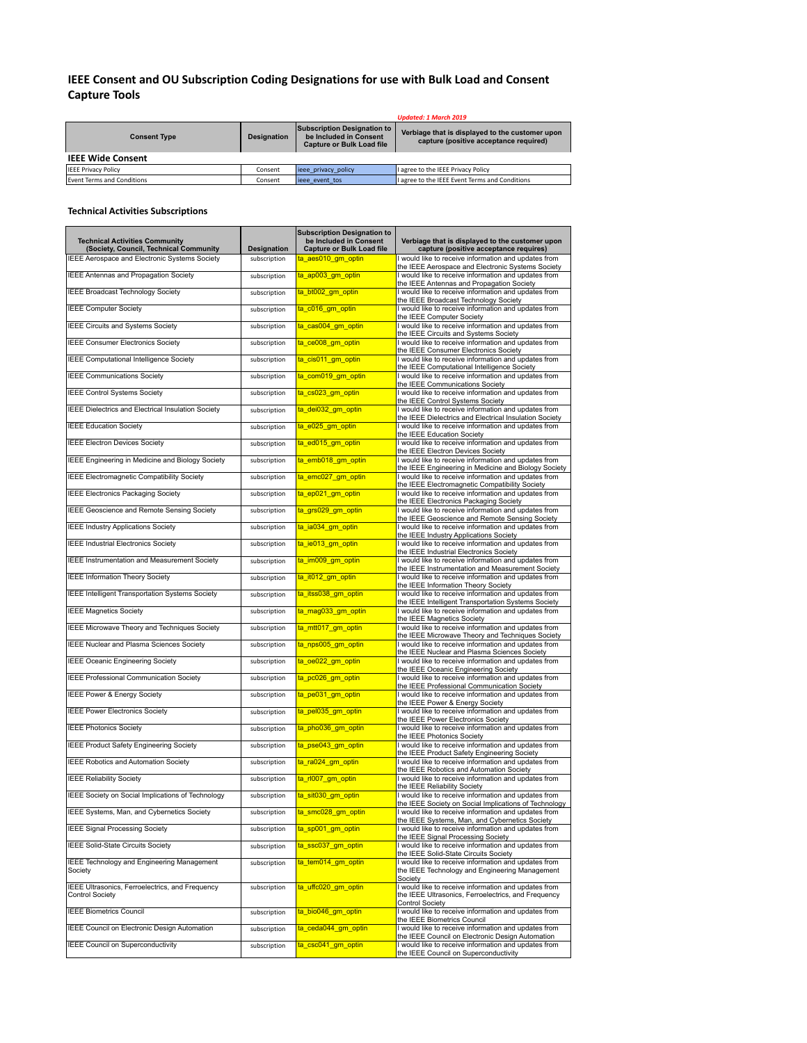## **IEEE Consent and OU Subscription Coding Designations for use with Bulk Load and Consent Capture Tools**

|                            |                    |                                                                                                  | Updated: 1 March 2019                                                                     |
|----------------------------|--------------------|--------------------------------------------------------------------------------------------------|-------------------------------------------------------------------------------------------|
| <b>Consent Type</b>        | <b>Designation</b> | <b>Subscription Designation to</b><br>be Included in Consent<br><b>Capture or Bulk Load file</b> | Verbiage that is displayed to the customer upon<br>capture (positive acceptance required) |
| <b>IEEE Wide Consent</b>   |                    |                                                                                                  |                                                                                           |
| <b>IEEE Privacy Policy</b> | Consent            | ieee privacy policy                                                                              | I agree to the IEEE Privacy Policy                                                        |
| Event Terms and Conditions | Consent            | lieee event tos                                                                                  | I agree to the IEEE Event Terms and Conditions                                            |

## **Technical Activities Subscriptions**

| <b>Technical Activities Community</b><br>(Society, Council, Technical Community | Designation  | <b>Subscription Designation to</b><br>be Included in Consent<br><b>Capture or Bulk Load file</b> | Verbiage that is displayed to the customer upon<br>capture (positive acceptance requires)                                             |
|---------------------------------------------------------------------------------|--------------|--------------------------------------------------------------------------------------------------|---------------------------------------------------------------------------------------------------------------------------------------|
| IEEE Aerospace and Electronic Systems Society                                   | subscription | ta_aes010_gm_optin                                                                               | I would like to receive information and updates from<br>the IEEE Aerospace and Electronic Systems Society                             |
| IEEE Antennas and Propagation Society                                           | subscription | ta ap003 gm optin                                                                                | I would like to receive information and updates from<br>the IEEE Antennas and Propagation Society                                     |
| IEEE Broadcast Technology Society                                               | subscription | ta_bt002_gm_optin                                                                                | I would like to receive information and updates from<br>the IEEE Broadcast Technology Society                                         |
| <b>IEEE Computer Society</b>                                                    | subscription | <u>ta_c016_gm_optin_</u>                                                                         | I would like to receive information and updates from<br>the IEEE Computer Society                                                     |
| IEEE Circuits and Systems Society                                               | subscription | ta_cas004_gm_optin                                                                               | I would like to receive information and updates from<br>the IEEE Circuits and Systems Society                                         |
| <b>IEEE Consumer Electronics Society</b>                                        | subscription | ta_ce008_gm_optin                                                                                | I would like to receive information and updates from<br>the IEEE Consumer Electronics Society                                         |
| <b>IEEE Computational Intelligence Society</b>                                  | subscription | ta_cis011_gm_optin                                                                               | I would like to receive information and updates from<br>the IEEE Computational Intelligence Society                                   |
| <b>IEEE Communications Society</b>                                              | subscription | <u>ta_com019_gm_optin</u>                                                                        | I would like to receive information and updates from<br>the IEEE Communications Society                                               |
| <b>IEEE Control Systems Society</b>                                             | subscription | ta_cs023_gm_optin                                                                                | I would like to receive information and updates from<br>the IEEE Control Systems Society                                              |
| IEEE Dielectrics and Electrical Insulation Society                              | subscription | ta_dei032_gm_optin                                                                               | I would like to receive information and updates from<br>the IEEE Dielectrics and Electrical Insulation Society                        |
| <b>IEEE Education Society</b>                                                   | subscription | ta_e025_gm_optin                                                                                 | I would like to receive information and updates from<br>the IEEE Education Society                                                    |
| <b>IEEE Electron Devices Society</b>                                            | subscription | ta_ed015_gm_optin                                                                                | I would like to receive information and updates from<br>the IEEE Electron Devices Society                                             |
| IEEE Engineering in Medicine and Biology Society                                | subscription | ta_emb018_gm_optin                                                                               | I would like to receive information and updates from<br>the IEEE Engineering in Medicine and Biology Society                          |
| IEEE Electromagnetic Compatibility Society                                      | subscription | ta_emc027_gm_optin                                                                               | I would like to receive information and updates from<br>the IEEE Electromagnetic Compatibility Society                                |
| <b>IEEE Electronics Packaging Society</b>                                       | subscription | ta_ep021_gm_optin                                                                                | I would like to receive information and updates from<br>the IEEE Electronics Packaging Society                                        |
| IEEE Geoscience and Remote Sensing Society                                      | subscription | ta_grs029_gm_optin                                                                               | I would like to receive information and updates from<br>the IEEE Geoscience and Remote Sensing Society                                |
| <b>IEEE Industry Applications Society</b>                                       | subscription | ta_ia034_gm_optin                                                                                | I would like to receive information and updates from<br>the IEEE Industry Applications Society                                        |
| <b>IEEE Industrial Electronics Society</b>                                      | subscription | ta_ie013_gm_optin                                                                                | I would like to receive information and updates from<br>the IEEE Industrial Electronics Society                                       |
| IEEE Instrumentation and Measurement Society                                    | subscription | ta_im009_gm_optin                                                                                | I would like to receive information and updates from<br>the IEEE Instrumentation and Measurement Society                              |
| <b>IEEE Information Theory Society</b>                                          | subscription | <u>ta_it012_gm_optin</u>                                                                         | I would like to receive information and updates from<br>the IEEE Information Theory Society                                           |
| IEEE Intelligent Transportation Systems Society                                 | subscription | ta_itss038_gm_optin                                                                              | I would like to receive information and updates from<br>the IEEE Intelligent Transportation Systems Society                           |
| <b>IEEE Magnetics Society</b>                                                   | subscription | ta_mag033_gm_optin                                                                               | I would like to receive information and updates from<br>the IEEE Magnetics Society                                                    |
| IEEE Microwave Theory and Techniques Society                                    | subscription | ta_mtt017_gm_optin                                                                               | I would like to receive information and updates from<br>the IEEE Microwave Theory and Techniques Society                              |
| IEEE Nuclear and Plasma Sciences Society                                        | subscription | ta_nps005_gm_optin                                                                               | I would like to receive information and updates from<br>the IEEE Nuclear and Plasma Sciences Society                                  |
| <b>IEEE Oceanic Engineering Society</b>                                         | subscription | ta_oe022_gm_optin                                                                                | I would like to receive information and updates from<br>the IEEE Oceanic Engineering Society                                          |
| IEEE Professional Communication Society                                         | subscription | ta_pc026_gm_optin                                                                                | I would like to receive information and updates from<br>the IEEE Professional Communication Society                                   |
| IEEE Power & Energy Society                                                     | subscription | ta_pe031_gm_optin                                                                                | I would like to receive information and updates from<br>the IEEE Power & Energy Society                                               |
| <b>IEEE Power Electronics Society</b>                                           | subscription | ta_pel035_gm_optin                                                                               | I would like to receive information and updates from<br>the IEEE Power Electronics Society                                            |
| <b>IEEE Photonics Society</b>                                                   | subscription | ta_pho036_gm_optin                                                                               | I would like to receive information and updates from<br>the IEEE Photonics Society                                                    |
| <b>IEEE Product Safety Engineering Society</b>                                  | subscription | ta pse043 gm optin                                                                               | I would like to receive information and updates from<br>the IEEE Product Safety Engineering Society                                   |
| IEEE Robotics and Automation Society                                            | subscription | ta_ra024_gm_optin                                                                                | I would like to receive information and updates from<br>the IEEE Robotics and Automation Society                                      |
| <b>IEEE Reliability Society</b>                                                 | subscription | <u>ta_rl007_gm_optin</u>                                                                         | I would like to receive information and updates from<br>the IEEE Reliability Society                                                  |
| IEEE Society on Social Implications of Technology                               | subscription | ta_sit030_gm_optin                                                                               | I would like to receive information and updates from<br>the IEEE Society on Social Implications of Technology                         |
| IEEE Systems, Man, and Cybernetics Society                                      | subscription | ta_smc028_gm_optin                                                                               | I would like to receive information and updates from<br>the IEEE Systems, Man, and Cybernetics Society                                |
| <b>IEEE Signal Processing Society</b>                                           | subscription | ta_sp001_gm_optin                                                                                | I would like to receive information and updates from<br>the IEEE Signal Processing Society                                            |
| IEEE Solid-State Circuits Society                                               | subscription | ta_ssc037_gm_optin                                                                               | I would like to receive information and updates from<br>the IEEE Solid-State Circuits Society                                         |
| <b>IEEE Technology and Engineering Management</b><br>Society                    | subscription | ta_tem014_gm_optin                                                                               | I would like to receive information and updates from<br>the IEEE Technology and Engineering Management<br>Society                     |
| IEEE Ultrasonics, Ferroelectrics, and Frequency<br><b>Control Society</b>       | subscription | ta_uffc020_gm_optin                                                                              | I would like to receive information and updates from<br>the IEEE Ultrasonics, Ferroelectrics, and Frequency<br><b>Control Society</b> |
| <b>IEEE Biometrics Council</b>                                                  | subscription | ta_bio046_gm_optin                                                                               | I would like to receive information and updates from<br>the IEEE Biometrics Council                                                   |
| IEEE Council on Electronic Design Automation                                    | subscription | ta ceda044_gm_optin                                                                              | I would like to receive information and updates from<br>the IEEE Council on Electronic Design Automation                              |
| <b>IEEE Council on Superconductivity</b>                                        | subscription | <u>ta_csc041_gm_optin_</u>                                                                       | I would like to receive information and updates from<br>the IEEE Council on Superconductivity                                         |